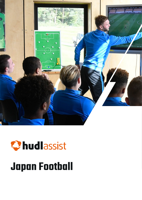

# Chudlassist **Japan Football**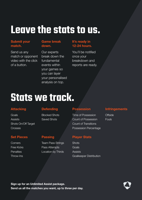### **Leave the stats to us.**

#### Submit your match.

Send us any match or opponent video with the click of a button.

#### Game break down.

Our experts break down the fundamental events within your games so you can layer your personalised analysis on top.

#### It's ready in 12-24 hours.

You'll be notified once your breakdown and reports are ready.

## **Stats we track.**

#### **Attacking**

Goals **Assists** Shots On/Off Target **Crosses** 

#### Set Pieces

**Corners** Free Kicks **Penalties** Throw-Ins

#### **Defending**

Blocked Shots Saved Shots

Passing

Team Pass Strings Pass Attempts Location by Thirds

#### **Possession**

Time of Possession Count of Possession Count of Transitions Possession Percentage

#### Player Stats

**Shots** Goals **Assists** Goalkeeper Distribution

#### **Infringements**

**Offside** Fouls

Sign up for an Unlimited Assist package. Send us all the matches you want, up to three per day.

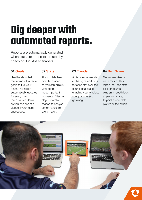### **Dig deeper with automated reports.**

Reports are automatically generated when stats are added to a match by a coach or Hudl Assist analysts.

#### 01 Goals

Use the stats that matter most to create goals to fuel your team. This report automatically updates for every match that's broken down, so you can see at a glance if your team succeeded.

#### 02 Stats

All sum data links directly to video, so you can quickly jump to the most important moments. Filter by player, match or season to analyse performance from every match.

#### 03 Trends

A visual representation of the highs and lows for each stat over the course of a season enabling you to adjust your plans as you go along.

#### 04 Box Score

Get a clear view of each match. This report includes stats for both teams, plus an in-depth look at passing stats, to paint a complete picture of the action.